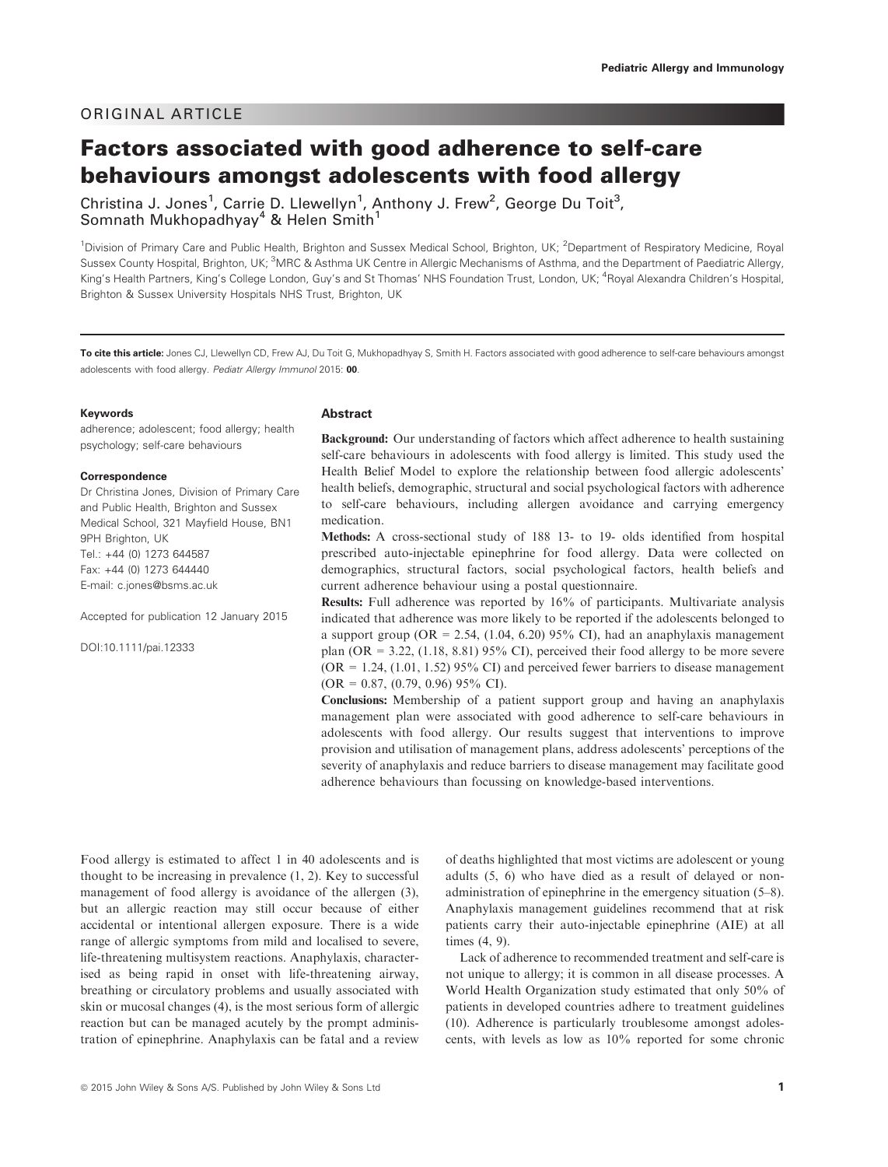# ORIGINAL ARTICLE

# Factors associated with good adherence to self-care behaviours amongst adolescents with food allergy

Christina J. Jones<sup>1</sup>, Carrie D. Llewellyn<sup>1</sup>, Anthony J. Frew<sup>2</sup>, George Du Toit<sup>3</sup>, Somnath Mukhopadhyay<sup>4</sup> & Helen Smith<sup>1</sup>

<sup>1</sup>Division of Primary Care and Public Health, Brighton and Sussex Medical School, Brighton, UK; <sup>2</sup>Department of Respiratory Medicine, Royal Sussex County Hospital, Brighton, UK;<sup>3</sup>MRC & Asthma UK Centre in Allergic Mechanisms of Asthma, and the Department of Paediatric Allergy, King's Health Partners, King's College London, Guy's and St Thomas' NHS Foundation Trust, London, UK; <sup>4</sup> Royal Alexandra Children's Hospital, Brighton & Sussex University Hospitals NHS Trust, Brighton, UK

To cite this article: Jones CJ, Llewellyn CD, Frew AJ, Du Toit G, Mukhopadhyay S, Smith H. Factors associated with good adherence to self-care behaviours amongst adolescents with food allergy. Pediatr Allergy Immunol 2015: 00.

#### Keywords

adherence; adolescent; food allergy; health psychology; self-care behaviours

#### Correspondence

Dr Christina Jones, Division of Primary Care and Public Health, Brighton and Sussex Medical School, 321 Mayfield House, BN1 9PH Brighton, UK Tel.: +44 (0) 1273 644587 Fax: +44 (0) 1273 644440 E-mail: c.jones@bsms.ac.uk

Accepted for publication 12 January 2015

DOI:10.1111/pai.12333

#### Abstract

Background: Our understanding of factors which affect adherence to health sustaining self-care behaviours in adolescents with food allergy is limited. This study used the Health Belief Model to explore the relationship between food allergic adolescents' health beliefs, demographic, structural and social psychological factors with adherence to self-care behaviours, including allergen avoidance and carrying emergency medication.

Methods: A cross-sectional study of 188 13- to 19- olds identified from hospital prescribed auto-injectable epinephrine for food allergy. Data were collected on demographics, structural factors, social psychological factors, health beliefs and current adherence behaviour using a postal questionnaire.

Results: Full adherence was reported by 16% of participants. Multivariate analysis indicated that adherence was more likely to be reported if the adolescents belonged to a support group ( $OR = 2.54$ , (1.04, 6.20) 95% CI), had an anaphylaxis management plan (OR =  $3.22$ , (1.18, 8.81) 95% CI), perceived their food allergy to be more severe  $(OR = 1.24, (1.01, 1.52) 95\% \text{ CI})$  and perceived fewer barriers to disease management  $(OR = 0.87, (0.79, 0.96) 95\% \text{ CI}).$ 

Conclusions: Membership of a patient support group and having an anaphylaxis management plan were associated with good adherence to self-care behaviours in adolescents with food allergy. Our results suggest that interventions to improve provision and utilisation of management plans, address adolescents' perceptions of the severity of anaphylaxis and reduce barriers to disease management may facilitate good adherence behaviours than focussing on knowledge-based interventions.

Food allergy is estimated to affect 1 in 40 adolescents and is thought to be increasing in prevalence  $(1, 2)$ . Key to successful management of food allergy is avoidance of the allergen (3), but an allergic reaction may still occur because of either accidental or intentional allergen exposure. There is a wide range of allergic symptoms from mild and localised to severe, life-threatening multisystem reactions. Anaphylaxis, characterised as being rapid in onset with life-threatening airway, breathing or circulatory problems and usually associated with skin or mucosal changes (4), is the most serious form of allergic reaction but can be managed acutely by the prompt administration of epinephrine. Anaphylaxis can be fatal and a review of deaths highlighted that most victims are adolescent or young adults (5, 6) who have died as a result of delayed or nonadministration of epinephrine in the emergency situation (5–8). Anaphylaxis management guidelines recommend that at risk patients carry their auto-injectable epinephrine (AIE) at all times (4, 9).

Lack of adherence to recommended treatment and self-care is not unique to allergy; it is common in all disease processes. A World Health Organization study estimated that only 50% of patients in developed countries adhere to treatment guidelines (10). Adherence is particularly troublesome amongst adolescents, with levels as low as 10% reported for some chronic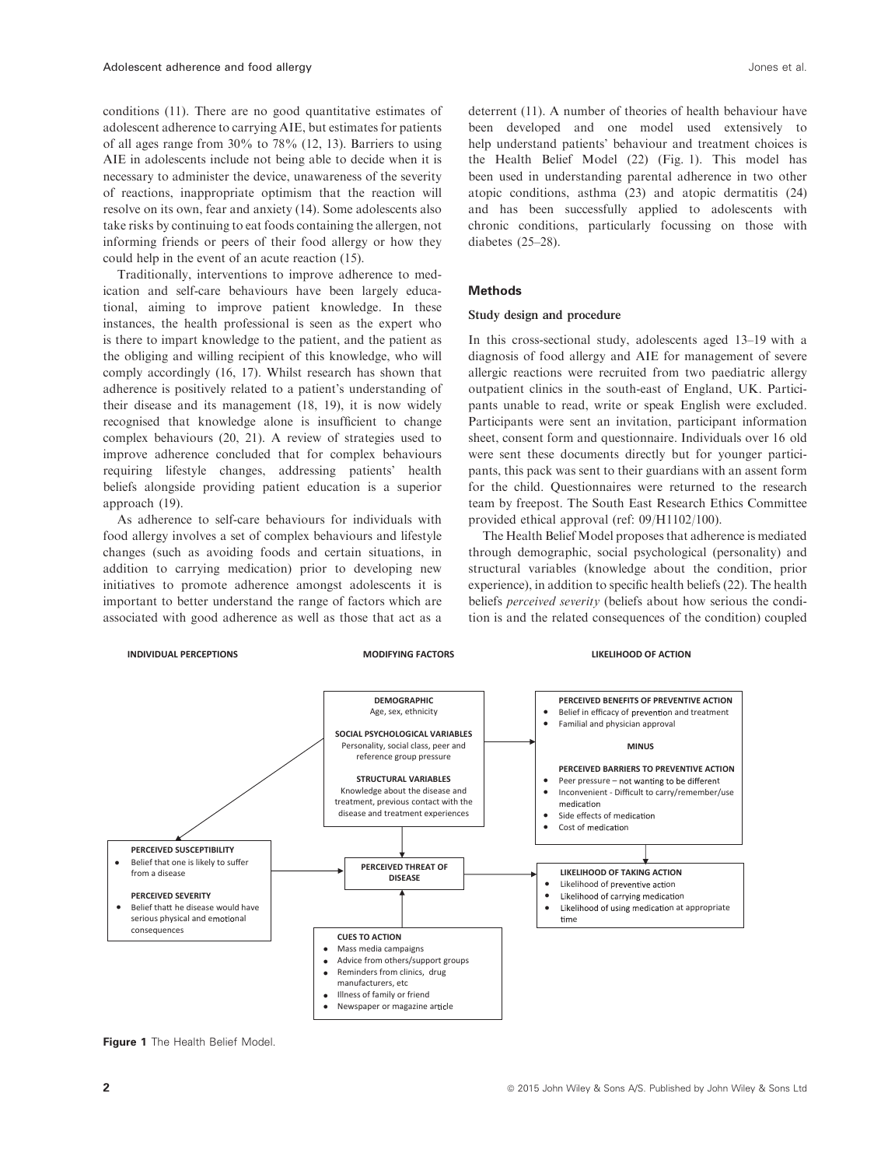conditions (11). There are no good quantitative estimates of adolescent adherence to carrying AIE, but estimates for patients of all ages range from 30% to 78% (12, 13). Barriers to using AIE in adolescents include not being able to decide when it is necessary to administer the device, unawareness of the severity of reactions, inappropriate optimism that the reaction will resolve on its own, fear and anxiety (14). Some adolescents also take risks by continuing to eat foods containing the allergen, not informing friends or peers of their food allergy or how they could help in the event of an acute reaction (15).

Traditionally, interventions to improve adherence to medication and self-care behaviours have been largely educational, aiming to improve patient knowledge. In these instances, the health professional is seen as the expert who is there to impart knowledge to the patient, and the patient as the obliging and willing recipient of this knowledge, who will comply accordingly (16, 17). Whilst research has shown that adherence is positively related to a patient's understanding of their disease and its management (18, 19), it is now widely recognised that knowledge alone is insufficient to change complex behaviours (20, 21). A review of strategies used to improve adherence concluded that for complex behaviours requiring lifestyle changes, addressing patients' health beliefs alongside providing patient education is a superior approach (19).

As adherence to self-care behaviours for individuals with food allergy involves a set of complex behaviours and lifestyle changes (such as avoiding foods and certain situations, in addition to carrying medication) prior to developing new initiatives to promote adherence amongst adolescents it is important to better understand the range of factors which are associated with good adherence as well as those that act as a

deterrent (11). A number of theories of health behaviour have been developed and one model used extensively to help understand patients' behaviour and treatment choices is the Health Belief Model (22) (Fig. 1). This model has been used in understanding parental adherence in two other atopic conditions, asthma (23) and atopic dermatitis (24) and has been successfully applied to adolescents with chronic conditions, particularly focussing on those with diabetes (25–28).

#### **Methods**

# Study design and procedure

In this cross-sectional study, adolescents aged 13–19 with a diagnosis of food allergy and AIE for management of severe allergic reactions were recruited from two paediatric allergy outpatient clinics in the south-east of England, UK. Participants unable to read, write or speak English were excluded. Participants were sent an invitation, participant information sheet, consent form and questionnaire. Individuals over 16 old were sent these documents directly but for younger participants, this pack was sent to their guardians with an assent form for the child. Questionnaires were returned to the research team by freepost. The South East Research Ethics Committee provided ethical approval (ref: 09/H1102/100).

The Health Belief Model proposes that adherence is mediated through demographic, social psychological (personality) and structural variables (knowledge about the condition, prior experience), in addition to specific health beliefs (22). The health beliefs perceived severity (beliefs about how serious the condition is and the related consequences of the condition) coupled



Figure 1 The Health Belief Model.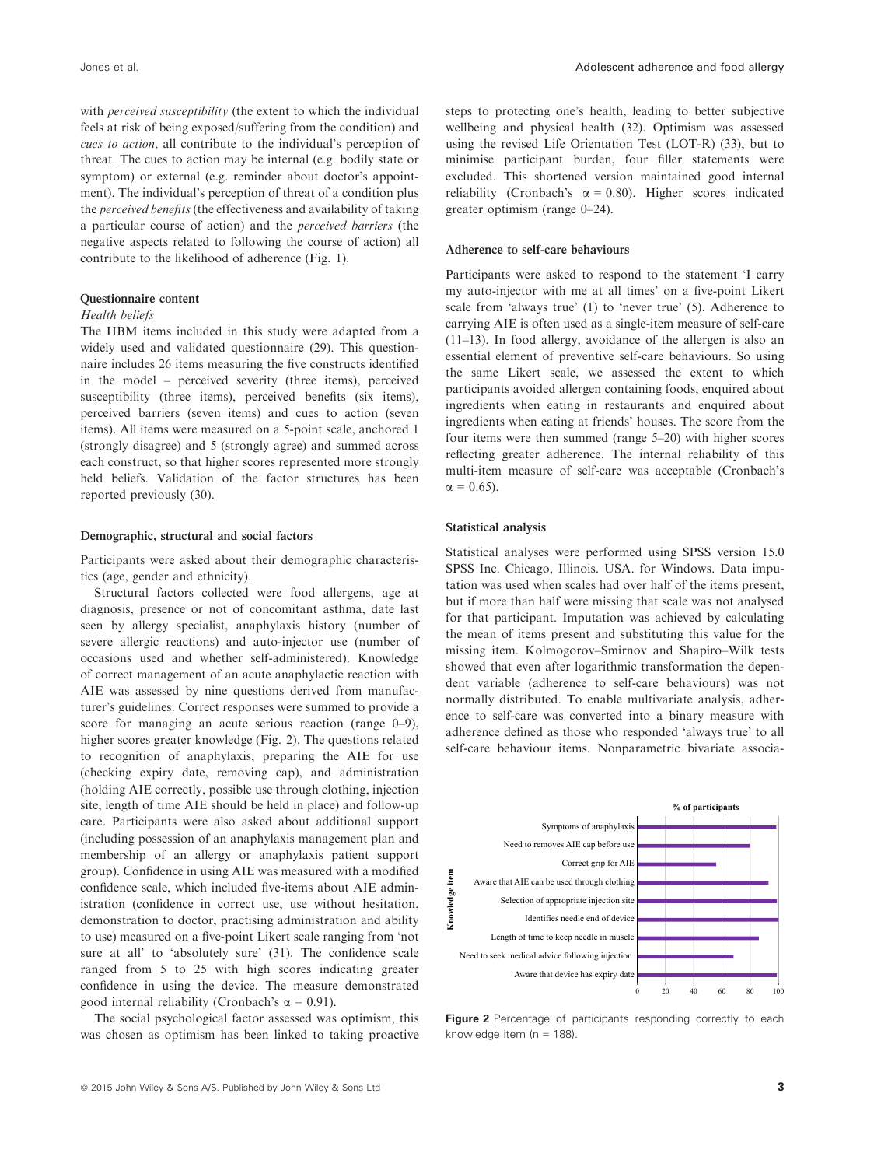with *perceived susceptibility* (the extent to which the individual feels at risk of being exposed/suffering from the condition) and cues to action, all contribute to the individual's perception of threat. The cues to action may be internal (e.g. bodily state or symptom) or external (e.g. reminder about doctor's appointment). The individual's perception of threat of a condition plus the perceived benefits (the effectiveness and availability of taking a particular course of action) and the perceived barriers (the negative aspects related to following the course of action) all contribute to the likelihood of adherence (Fig. 1).

#### Questionnaire content

#### Health beliefs

The HBM items included in this study were adapted from a widely used and validated questionnaire (29). This questionnaire includes 26 items measuring the five constructs identified in the model – perceived severity (three items), perceived susceptibility (three items), perceived benefits (six items), perceived barriers (seven items) and cues to action (seven items). All items were measured on a 5-point scale, anchored 1 (strongly disagree) and 5 (strongly agree) and summed across each construct, so that higher scores represented more strongly held beliefs. Validation of the factor structures has been reported previously (30).

#### Demographic, structural and social factors

Participants were asked about their demographic characteristics (age, gender and ethnicity).

Structural factors collected were food allergens, age at diagnosis, presence or not of concomitant asthma, date last seen by allergy specialist, anaphylaxis history (number of severe allergic reactions) and auto-injector use (number of occasions used and whether self-administered). Knowledge of correct management of an acute anaphylactic reaction with AIE was assessed by nine questions derived from manufacturer's guidelines. Correct responses were summed to provide a score for managing an acute serious reaction (range 0–9), higher scores greater knowledge (Fig. 2). The questions related to recognition of anaphylaxis, preparing the AIE for use (checking expiry date, removing cap), and administration (holding AIE correctly, possible use through clothing, injection site, length of time AIE should be held in place) and follow-up care. Participants were also asked about additional support (including possession of an anaphylaxis management plan and membership of an allergy or anaphylaxis patient support group). Confidence in using AIE was measured with a modified confidence scale, which included five-items about AIE administration (confidence in correct use, use without hesitation, demonstration to doctor, practising administration and ability to use) measured on a five-point Likert scale ranging from 'not sure at all' to 'absolutely sure' (31). The confidence scale ranged from 5 to 25 with high scores indicating greater confidence in using the device. The measure demonstrated good internal reliability (Cronbach's  $\alpha = 0.91$ ).

The social psychological factor assessed was optimism, this was chosen as optimism has been linked to taking proactive steps to protecting one's health, leading to better subjective wellbeing and physical health (32). Optimism was assessed using the revised Life Orientation Test (LOT-R) (33), but to minimise participant burden, four filler statements were excluded. This shortened version maintained good internal reliability (Cronbach's  $\alpha = 0.80$ ). Higher scores indicated greater optimism (range 0–24).

### Adherence to self-care behaviours

Participants were asked to respond to the statement 'I carry my auto-injector with me at all times' on a five-point Likert scale from 'always true' (1) to 'never true' (5). Adherence to carrying AIE is often used as a single-item measure of self-care (11–13). In food allergy, avoidance of the allergen is also an essential element of preventive self-care behaviours. So using the same Likert scale, we assessed the extent to which participants avoided allergen containing foods, enquired about ingredients when eating in restaurants and enquired about ingredients when eating at friends' houses. The score from the four items were then summed (range 5–20) with higher scores reflecting greater adherence. The internal reliability of this multi-item measure of self-care was acceptable (Cronbach's  $\alpha = 0.65$ ).

#### Statistical analysis

Statistical analyses were performed using SPSS version 15.0 SPSS Inc. Chicago, Illinois. USA. for Windows. Data imputation was used when scales had over half of the items present, but if more than half were missing that scale was not analysed for that participant. Imputation was achieved by calculating the mean of items present and substituting this value for the missing item. Kolmogorov–Smirnov and Shapiro–Wilk tests showed that even after logarithmic transformation the dependent variable (adherence to self-care behaviours) was not normally distributed. To enable multivariate analysis, adherence to self-care was converted into a binary measure with adherence defined as those who responded 'always true' to all self-care behaviour items. Nonparametric bivariate associa-



Figure 2 Percentage of participants responding correctly to each knowledge item ( $n = 188$ ).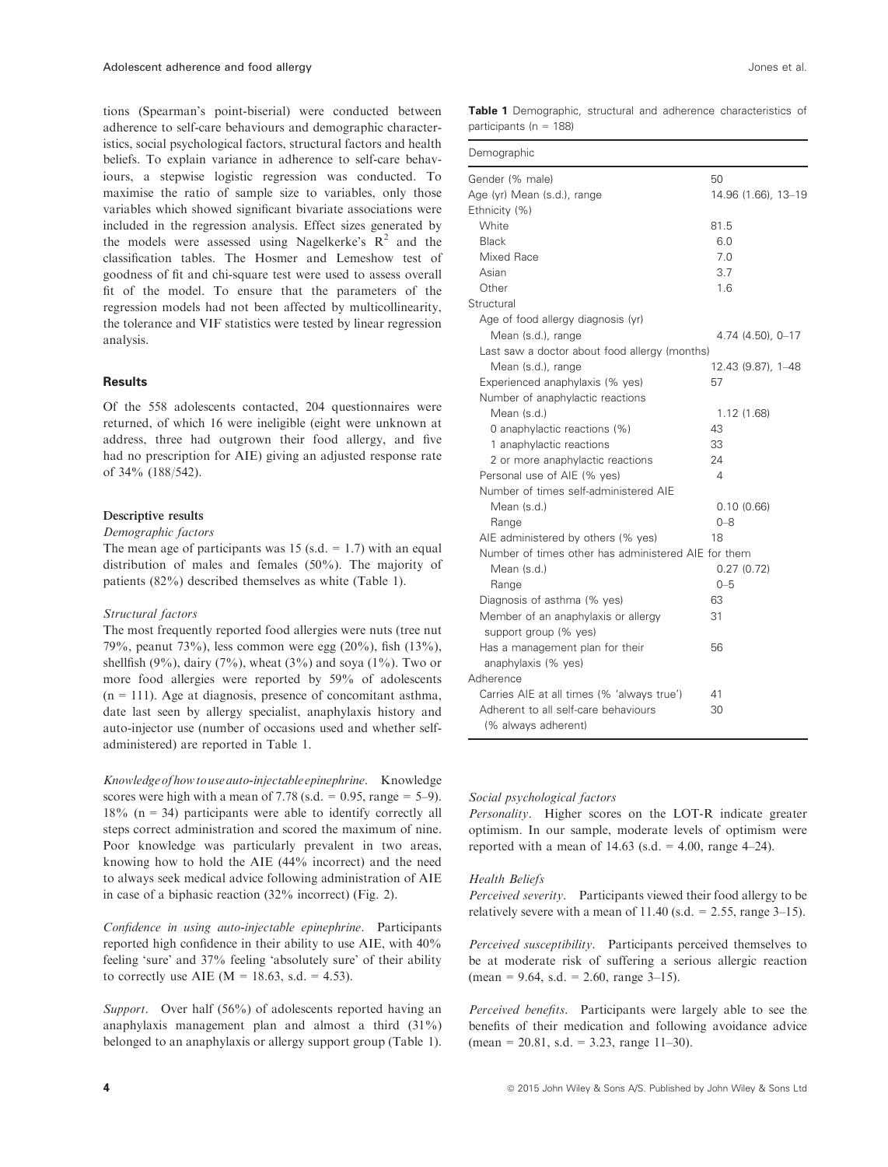tions (Spearman's point-biserial) were conducted between adherence to self-care behaviours and demographic characteristics, social psychological factors, structural factors and health beliefs. To explain variance in adherence to self-care behaviours, a stepwise logistic regression was conducted. To maximise the ratio of sample size to variables, only those variables which showed significant bivariate associations were included in the regression analysis. Effect sizes generated by the models were assessed using Nagelkerke's  $R^2$  and the classification tables. The Hosmer and Lemeshow test of goodness of fit and chi-square test were used to assess overall fit of the model. To ensure that the parameters of the regression models had not been affected by multicollinearity, the tolerance and VIF statistics were tested by linear regression analysis.

# **Results**

Of the 558 adolescents contacted, 204 questionnaires were returned, of which 16 were ineligible (eight were unknown at address, three had outgrown their food allergy, and five had no prescription for AIE) giving an adjusted response rate of 34% (188/542).

#### Descriptive results

Demographic factors

The mean age of participants was 15 (s.d.  $= 1.7$ ) with an equal distribution of males and females (50%). The majority of patients (82%) described themselves as white (Table 1).

### Structural factors

The most frequently reported food allergies were nuts (tree nut 79%, peanut 73%), less common were egg (20%), fish (13%), shellfish (9%), dairy (7%), wheat (3%) and soya (1%). Two or more food allergies were reported by 59% of adolescents  $(n = 111)$ . Age at diagnosis, presence of concomitant asthma, date last seen by allergy specialist, anaphylaxis history and auto-injector use (number of occasions used and whether selfadministered) are reported in Table 1.

Knowledge of how to use auto-injectableepinephrine. Knowledge scores were high with a mean of 7.78 (s.d. =  $0.95$ , range =  $5-9$ ).  $18\%$  (n = 34) participants were able to identify correctly all steps correct administration and scored the maximum of nine. Poor knowledge was particularly prevalent in two areas, knowing how to hold the AIE (44% incorrect) and the need to always seek medical advice following administration of AIE in case of a biphasic reaction (32% incorrect) (Fig. 2).

Confidence in using auto-injectable epinephrine. Participants reported high confidence in their ability to use AIE, with 40% feeling 'sure' and 37% feeling 'absolutely sure' of their ability to correctly use AIE ( $M = 18.63$ , s.d. = 4.53).

Support. Over half (56%) of adolescents reported having an anaphylaxis management plan and almost a third (31%) belonged to an anaphylaxis or allergy support group (Table 1).

Table 1 Demographic, structural and adherence characteristics of participants (n = 188)

| Demographic                                         |                     |
|-----------------------------------------------------|---------------------|
| Gender (% male)                                     | 50                  |
| Age (yr) Mean (s.d.), range                         | 14.96 (1.66), 13-19 |
| Ethnicity (%)                                       |                     |
| White                                               | 81.5                |
| <b>Black</b>                                        | 6.0                 |
| Mixed Race                                          | 7.0                 |
| Asian                                               | 3.7                 |
| Other                                               | 1.6                 |
| Structural                                          |                     |
| Age of food allergy diagnosis (yr)                  |                     |
| Mean (s.d.), range                                  | 4.74 (4.50), 0-17   |
| Last saw a doctor about food allergy (months)       |                     |
| Mean (s.d.), range                                  | 12.43 (9.87), 1-48  |
| Experienced anaphylaxis (% yes)                     | 57                  |
| Number of anaphylactic reactions                    |                     |
| Mean (s.d.)                                         | 1.12(1.68)          |
| 0 anaphylactic reactions (%)                        | 43                  |
| 1 anaphylactic reactions                            | 33                  |
| 2 or more anaphylactic reactions                    | 24                  |
| Personal use of AIE (% yes)                         | 4                   |
| Number of times self-administered AIF               |                     |
| Mean (s.d.)                                         | 0.10(0.66)          |
| Range                                               | $0 - 8$             |
| AIE administered by others (% yes)                  | 18                  |
| Number of times other has administered AIE for them |                     |
| Mean (s.d.)                                         | 0.27(0.72)          |
| Range                                               | $0 - 5$             |
| Diagnosis of asthma (% yes)                         | 63                  |
| Member of an anaphylaxis or allergy                 | 31                  |
| support group (% yes)                               |                     |
| Has a management plan for their                     | 56                  |
| anaphylaxis (% yes)                                 |                     |
| Adherence                                           |                     |
| Carries AIE at all times (% 'always true')          | 41                  |
| Adherent to all self-care behaviours                | 30                  |
| (% always adherent)                                 |                     |

# Social psychological factors

Personality. Higher scores on the LOT-R indicate greater optimism. In our sample, moderate levels of optimism were reported with a mean of  $14.63$  (s.d. = 4.00, range 4–24).

## Health Beliefs

Perceived severity. Participants viewed their food allergy to be relatively severe with a mean of  $11.40$  (s.d. = 2.55, range 3–15).

Perceived susceptibility. Participants perceived themselves to be at moderate risk of suffering a serious allergic reaction  $(\text{mean} = 9.64, \text{ s.d.} = 2.60, \text{ range } 3 - 15).$ 

Perceived benefits. Participants were largely able to see the benefits of their medication and following avoidance advice  $(\text{mean} = 20.81, \text{ s.d.} = 3.23, \text{ range } 11-30).$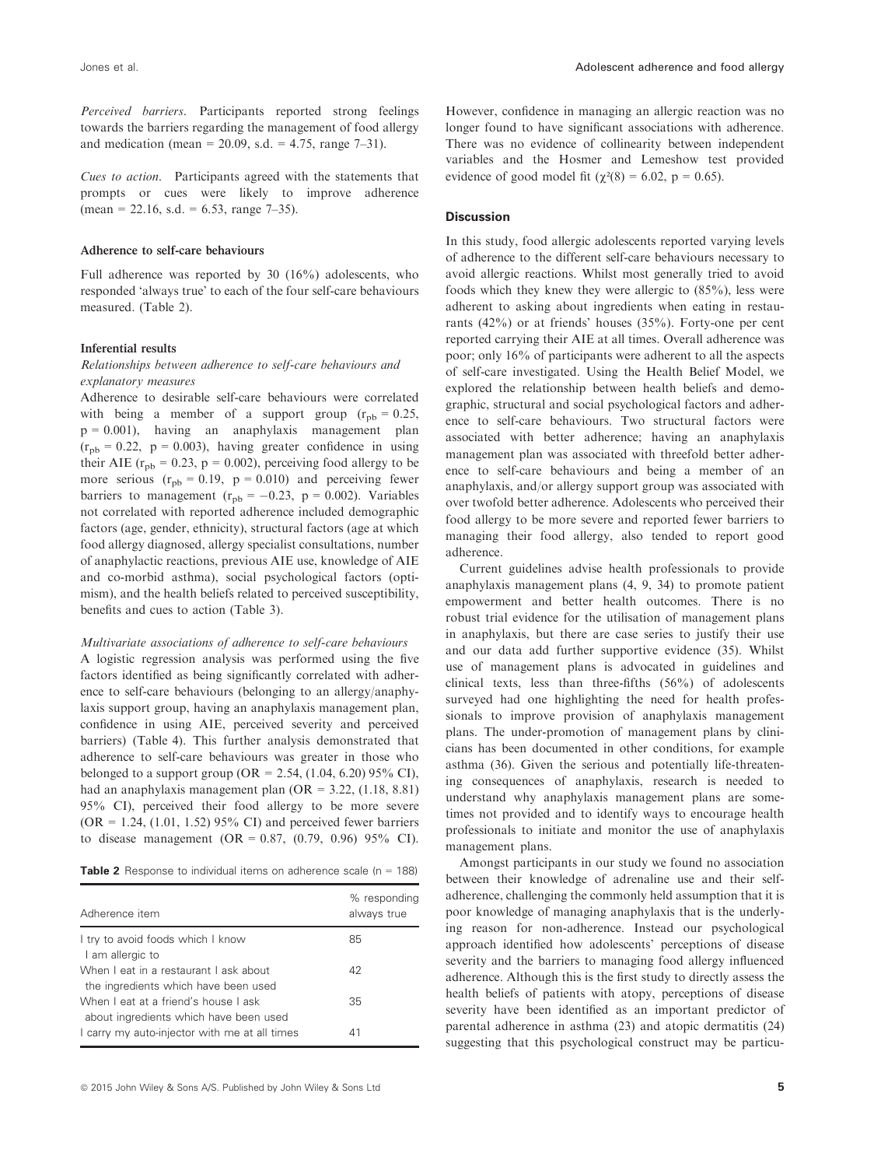Perceived barriers. Participants reported strong feelings towards the barriers regarding the management of food allergy and medication (mean = 20.09, s.d. = 4.75, range  $7-31$ ).

Cues to action. Participants agreed with the statements that prompts or cues were likely to improve adherence  $(\text{mean} = 22.16, \text{ s.d.} = 6.53, \text{ range } 7-35).$ 

#### Adherence to self-care behaviours

Full adherence was reported by 30 (16%) adolescents, who responded 'always true' to each of the four self-care behaviours measured. (Table 2).

# Inferential results

# Relationships between adherence to self-care behaviours and explanatory measures

Adherence to desirable self-care behaviours were correlated with being a member of a support group  $(r_{pb} = 0.25)$ ,  $p = 0.001$ ), having an anaphylaxis management plan  $(r_{\text{nb}} = 0.22, p = 0.003)$ , having greater confidence in using their AIE ( $r_{pb} = 0.23$ ,  $p = 0.002$ ), perceiving food allergy to be more serious  $(r_{pb} = 0.19, p = 0.010)$  and perceiving fewer barriers to management ( $r_{pb} = -0.23$ , p = 0.002). Variables not correlated with reported adherence included demographic factors (age, gender, ethnicity), structural factors (age at which food allergy diagnosed, allergy specialist consultations, number of anaphylactic reactions, previous AIE use, knowledge of AIE and co-morbid asthma), social psychological factors (optimism), and the health beliefs related to perceived susceptibility, benefits and cues to action (Table 3).

#### Multivariate associations of adherence to self-care behaviours

A logistic regression analysis was performed using the five factors identified as being significantly correlated with adherence to self-care behaviours (belonging to an allergy/anaphylaxis support group, having an anaphylaxis management plan, confidence in using AIE, perceived severity and perceived barriers) (Table 4). This further analysis demonstrated that adherence to self-care behaviours was greater in those who belonged to a support group (OR = 2.54,  $(1.04, 6.20)$  95% CI), had an anaphylaxis management plan  $(OR = 3.22, (1.18, 8.81))$ 95% CI), perceived their food allergy to be more severe  $(OR = 1.24, (1.01, 1.52) 95\% \text{ CI})$  and perceived fewer barriers to disease management (OR = 0.87,  $(0.79, 0.96)$  95% CI).

**Table 2** Response to individual items on adherence scale ( $n = 188$ )

| Adherence item                                                                 | % responding<br>always true |
|--------------------------------------------------------------------------------|-----------------------------|
| I try to avoid foods which I know<br>I am allergic to                          | 85                          |
| When I eat in a restaurant I ask about<br>the ingredients which have been used | 42                          |
| When I eat at a friend's house I ask<br>about ingredients which have been used | 35                          |
| I carry my auto-injector with me at all times                                  | 41                          |

However, confidence in managing an allergic reaction was no longer found to have significant associations with adherence. There was no evidence of collinearity between independent variables and the Hosmer and Lemeshow test provided evidence of good model fit ( $\chi^2(8) = 6.02$ , p = 0.65).

### **Discussion**

In this study, food allergic adolescents reported varying levels of adherence to the different self-care behaviours necessary to avoid allergic reactions. Whilst most generally tried to avoid foods which they knew they were allergic to (85%), less were adherent to asking about ingredients when eating in restaurants (42%) or at friends' houses (35%). Forty-one per cent reported carrying their AIE at all times. Overall adherence was poor; only 16% of participants were adherent to all the aspects of self-care investigated. Using the Health Belief Model, we explored the relationship between health beliefs and demographic, structural and social psychological factors and adherence to self-care behaviours. Two structural factors were associated with better adherence; having an anaphylaxis management plan was associated with threefold better adherence to self-care behaviours and being a member of an anaphylaxis, and/or allergy support group was associated with over twofold better adherence. Adolescents who perceived their food allergy to be more severe and reported fewer barriers to managing their food allergy, also tended to report good adherence.

Current guidelines advise health professionals to provide anaphylaxis management plans (4, 9, 34) to promote patient empowerment and better health outcomes. There is no robust trial evidence for the utilisation of management plans in anaphylaxis, but there are case series to justify their use and our data add further supportive evidence (35). Whilst use of management plans is advocated in guidelines and clinical texts, less than three-fifths (56%) of adolescents surveyed had one highlighting the need for health professionals to improve provision of anaphylaxis management plans. The under-promotion of management plans by clinicians has been documented in other conditions, for example asthma (36). Given the serious and potentially life-threatening consequences of anaphylaxis, research is needed to understand why anaphylaxis management plans are sometimes not provided and to identify ways to encourage health professionals to initiate and monitor the use of anaphylaxis management plans.

Amongst participants in our study we found no association between their knowledge of adrenaline use and their selfadherence, challenging the commonly held assumption that it is poor knowledge of managing anaphylaxis that is the underlying reason for non-adherence. Instead our psychological approach identified how adolescents' perceptions of disease severity and the barriers to managing food allergy influenced adherence. Although this is the first study to directly assess the health beliefs of patients with atopy, perceptions of disease severity have been identified as an important predictor of parental adherence in asthma (23) and atopic dermatitis (24) suggesting that this psychological construct may be particu-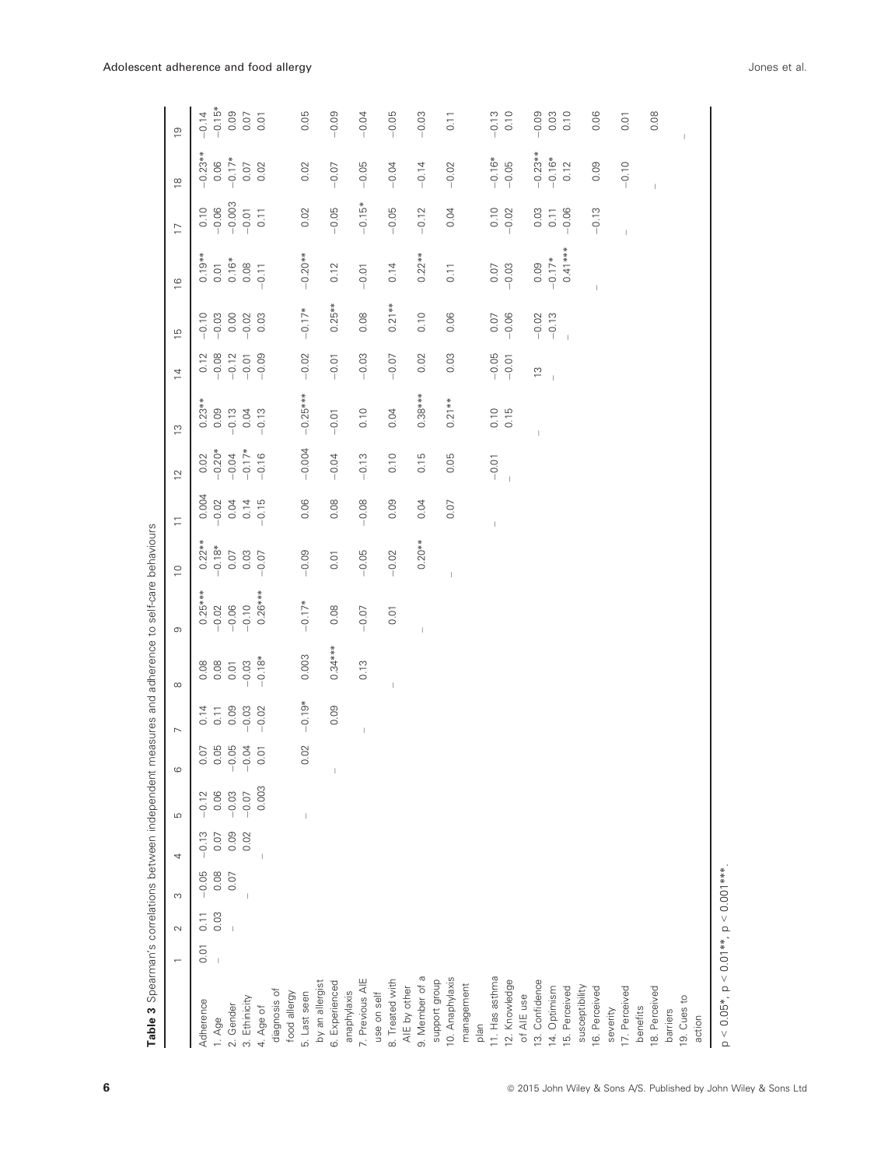| Table 3 Spearman's correlations between independent measures and adherence to self-care behaviours |                          |        |         |      |         |         |                                                                                                                                                                                                                                                                                                                                                                                  |           |                          |             |                                     |                   |                |                                                       |                |                  |                |                |               |
|----------------------------------------------------------------------------------------------------|--------------------------|--------|---------|------|---------|---------|----------------------------------------------------------------------------------------------------------------------------------------------------------------------------------------------------------------------------------------------------------------------------------------------------------------------------------------------------------------------------------|-----------|--------------------------|-------------|-------------------------------------|-------------------|----------------|-------------------------------------------------------|----------------|------------------|----------------|----------------|---------------|
|                                                                                                    | $\overline{\phantom{0}}$ | $\sim$ | S       | 4    | LO      | $\circ$ | $\overline{ }$                                                                                                                                                                                                                                                                                                                                                                   | $\infty$  | $\circ$                  | $\supseteq$ | $\overline{\overline{\overline{}}}$ | $\overline{C}$    | $\tilde{c}$    | $\overline{4}$                                        | $\frac{15}{2}$ | $\frac{6}{1}$    | $\overline{1}$ | $\frac{8}{10}$ | $\frac{0}{2}$ |
| Adherence                                                                                          | 0.01                     | 0.11   | $-0.05$ | 0.13 | $-0.12$ | 0.07    | 0.14                                                                                                                                                                                                                                                                                                                                                                             | 0.08      | $0.25***$                | $0.22***$   | 0.004                               | 0.02              | $0.23**$       |                                                       | $-0.10$        | $0.19**$<br>0.01 | 0.10           | $-0.23**$      | $-0.14$       |
| 1. Age                                                                                             | $\overline{1}$           | 0.03   | 0.08    | 0.07 | 0.06    | 0.05    | 0.11                                                                                                                                                                                                                                                                                                                                                                             | 0.08      | $-0.02$                  | $-0.18*$    | $-0.02$                             | $-0.20*$<br>-0.04 | 0.09           | $\begin{array}{c} 0.12 \\ -0.12 \\ -0.12 \end{array}$ | $-0.03$        |                  | $-0.06$        | 0.06           | $-0.15*$      |
| 2. Gender                                                                                          |                          |        | 0.07    | 0.09 | $-0.03$ | $-0.05$ | 0.09                                                                                                                                                                                                                                                                                                                                                                             | 0.01      | $-0.06$                  | 0.07        | 0.04                                |                   | $-0.13$        |                                                       | 0.00           | $0.16*$          | $-0.003$       | $-0.17*$       | 0.09          |
| 3. Ethinicity                                                                                      |                          |        |         | 0.02 | $-0.07$ | $-0.04$ | $-0.03$                                                                                                                                                                                                                                                                                                                                                                          | $-0.03$   | $-0.10$                  | 0.03        | 0.14                                | $-0.17*$          | 0.04           | $-0.01$                                               | $-0.02$        | 0.08             | $-0.01$        | 0.07           |               |
| 4. Age of                                                                                          |                          |        |         |      | 0.003   | 0.01    | $-0.02$                                                                                                                                                                                                                                                                                                                                                                          | $-0.18*$  | $0.26***$                | $-0.07$     | $-0.15$                             | $-0.16$           | $-0.13$        | $-0.09$                                               | 0.03           | $-0.11$          | 0.11           | 0.02           | 0.01          |
| diagnosis of                                                                                       |                          |        |         |      |         |         |                                                                                                                                                                                                                                                                                                                                                                                  |           |                          |             |                                     |                   |                |                                                       |                |                  |                |                |               |
| food allergy                                                                                       |                          |        |         |      |         |         |                                                                                                                                                                                                                                                                                                                                                                                  |           |                          |             |                                     |                   |                |                                                       |                |                  |                |                |               |
| 5. Last seen                                                                                       |                          |        |         |      |         | 0.02    | $-0.19*$                                                                                                                                                                                                                                                                                                                                                                         | 0.003     | $-0.17*$                 | $-0.09$     | 0.06                                | $-0.004$          | $-0.25***$     | $-0.02$                                               | $-0.17*$       | $-0.20**$        | 0.02           | 0.02           | 0.05          |
| by an allergist                                                                                    |                          |        |         |      |         |         |                                                                                                                                                                                                                                                                                                                                                                                  |           |                          |             |                                     |                   |                |                                                       |                |                  |                |                |               |
| 6. Experienced                                                                                     |                          |        |         |      |         |         | 0.09                                                                                                                                                                                                                                                                                                                                                                             | $0.34***$ | 0.08                     | 0.01        | 0.08                                | $-0.04$           | $-0.01$        | $-0.01$                                               | $0.25***$      | 0.12             | $-0.05$        | $-0.07$        | $-0.09$       |
| anaphylaxis                                                                                        |                          |        |         |      |         |         |                                                                                                                                                                                                                                                                                                                                                                                  |           |                          |             |                                     |                   |                |                                                       |                |                  |                |                |               |
| 7. Previous AIE                                                                                    |                          |        |         |      |         |         | $\begin{array}{c} \rule{0pt}{2.5ex} \rule{0pt}{2.5ex} \rule{0pt}{2.5ex} \rule{0pt}{2.5ex} \rule{0pt}{2.5ex} \rule{0pt}{2.5ex} \rule{0pt}{2.5ex} \rule{0pt}{2.5ex} \rule{0pt}{2.5ex} \rule{0pt}{2.5ex} \rule{0pt}{2.5ex} \rule{0pt}{2.5ex} \rule{0pt}{2.5ex} \rule{0pt}{2.5ex} \rule{0pt}{2.5ex} \rule{0pt}{2.5ex} \rule{0pt}{2.5ex} \rule{0pt}{2.5ex} \rule{0pt}{2.5ex} \rule{0$ | 0.13      | $-0.07$                  | $-0.05$     | $-0.08$                             | $-0.13$           | 0.10           | $-0.03$                                               | 0.08           | $-0.01$          | $-0.15*$       | $-0.05$        | $-0.04$       |
| use on self                                                                                        |                          |        |         |      |         |         |                                                                                                                                                                                                                                                                                                                                                                                  |           |                          |             |                                     |                   |                |                                                       |                |                  |                |                |               |
| 8. Treated with                                                                                    |                          |        |         |      |         |         |                                                                                                                                                                                                                                                                                                                                                                                  |           | 0.01                     | $-0.02$     | 0.09                                | 0.10              | 0.04           | $-0.07$                                               | $0.21***$      | 0.14             | $-0.05$        | $-0.04$        | $-0.05$       |
| AIE by other                                                                                       |                          |        |         |      |         |         |                                                                                                                                                                                                                                                                                                                                                                                  |           |                          |             |                                     |                   |                |                                                       |                |                  |                |                |               |
| 9. Member of a                                                                                     |                          |        |         |      |         |         |                                                                                                                                                                                                                                                                                                                                                                                  |           | $\overline{\phantom{a}}$ | $0.20**$    | 0.04                                | 0.15              | $0.38***$      | 0.02                                                  | 0.10           | $0.22***$        | $-0.12$        | $-0.14$        | $-0.03$       |
| support group                                                                                      |                          |        |         |      |         |         |                                                                                                                                                                                                                                                                                                                                                                                  |           |                          |             |                                     |                   |                |                                                       |                |                  |                |                |               |
| 10. Anaphylaxis                                                                                    |                          |        |         |      |         |         |                                                                                                                                                                                                                                                                                                                                                                                  |           |                          |             | 0.07                                | 0.05              | $0.21**$       | 0.03                                                  | 0.06           | 0.11             | 0.04           | $-0.02$        | 0.11          |
| management                                                                                         |                          |        |         |      |         |         |                                                                                                                                                                                                                                                                                                                                                                                  |           |                          |             |                                     |                   |                |                                                       |                |                  |                |                |               |
| plan                                                                                               |                          |        |         |      |         |         |                                                                                                                                                                                                                                                                                                                                                                                  |           |                          |             |                                     |                   |                |                                                       |                |                  |                |                |               |
| 11. Has asthma                                                                                     |                          |        |         |      |         |         |                                                                                                                                                                                                                                                                                                                                                                                  |           |                          |             | I                                   | $-0.01$           | $0.15$<br>0.15 | $-0.05$<br>$-0.01$                                    | 0.07           | 0.07             | 0.10           | $-0.16*$       | $-0.13$       |
| 12. Knowledge                                                                                      |                          |        |         |      |         |         |                                                                                                                                                                                                                                                                                                                                                                                  |           |                          |             |                                     | $\bar{1}$         |                |                                                       | $-0.06$        | $-0.03$          | $-0.02$        | $-0.05$        | 0.10          |
| of AIE use                                                                                         |                          |        |         |      |         |         |                                                                                                                                                                                                                                                                                                                                                                                  |           |                          |             |                                     |                   |                |                                                       |                |                  |                |                |               |
| 13. Confidence                                                                                     |                          |        |         |      |         |         |                                                                                                                                                                                                                                                                                                                                                                                  |           |                          |             |                                     |                   |                | $\frac{1}{2}$                                         | $-0.02$        | 0.09             | 0.03           | $-0.23**$      | $-0.09$       |
| 14. Optimism                                                                                       |                          |        |         |      |         |         |                                                                                                                                                                                                                                                                                                                                                                                  |           |                          |             |                                     |                   |                | $\bar{\bar{1}}$                                       | $-0.13$        | $-0.17*$         | 0.11           | $-0.16*$       | 0.03          |
| 15. Perceived                                                                                      |                          |        |         |      |         |         |                                                                                                                                                                                                                                                                                                                                                                                  |           |                          |             |                                     |                   |                |                                                       | $\bar{1}$      | $0.41***$        | $-0.06$        | 0.12           | 0.10          |
| susceptibility                                                                                     |                          |        |         |      |         |         |                                                                                                                                                                                                                                                                                                                                                                                  |           |                          |             |                                     |                   |                |                                                       |                |                  |                |                |               |
| 16. Perceived                                                                                      |                          |        |         |      |         |         |                                                                                                                                                                                                                                                                                                                                                                                  |           |                          |             |                                     |                   |                |                                                       |                | $\overline{1}$   | $-0.13$        | 0.09           | 0.06          |
| severity                                                                                           |                          |        |         |      |         |         |                                                                                                                                                                                                                                                                                                                                                                                  |           |                          |             |                                     |                   |                |                                                       |                |                  |                |                |               |
| 17. Perceived                                                                                      |                          |        |         |      |         |         |                                                                                                                                                                                                                                                                                                                                                                                  |           |                          |             |                                     |                   |                |                                                       |                |                  |                | $-0.10$        | 0.01          |
| benefits                                                                                           |                          |        |         |      |         |         |                                                                                                                                                                                                                                                                                                                                                                                  |           |                          |             |                                     |                   |                |                                                       |                |                  |                |                |               |
| 18. Perceived                                                                                      |                          |        |         |      |         |         |                                                                                                                                                                                                                                                                                                                                                                                  |           |                          |             |                                     |                   |                |                                                       |                |                  |                |                | 0.08          |
| barriers                                                                                           |                          |        |         |      |         |         |                                                                                                                                                                                                                                                                                                                                                                                  |           |                          |             |                                     |                   |                |                                                       |                |                  |                |                |               |
| 19. Cues to                                                                                        |                          |        |         |      |         |         |                                                                                                                                                                                                                                                                                                                                                                                  |           |                          |             |                                     |                   |                |                                                       |                |                  |                |                |               |
| action                                                                                             |                          |        |         |      |         |         |                                                                                                                                                                                                                                                                                                                                                                                  |           |                          |             |                                     |                   |                |                                                       |                |                  |                |                |               |
| $p < 0.05$ *, $p < 0.01$ **, $p < 0.001$ ***                                                       |                          |        |         |      |         |         |                                                                                                                                                                                                                                                                                                                                                                                  |           |                          |             |                                     |                   |                |                                                       |                |                  |                |                |               |

 $p < 0.05$ \*,  $p < 0.001$ \*\*.

Adolescent adherence and food allergy **Adolescent** adherence and food allergy **Adolescent** adherence and food allergy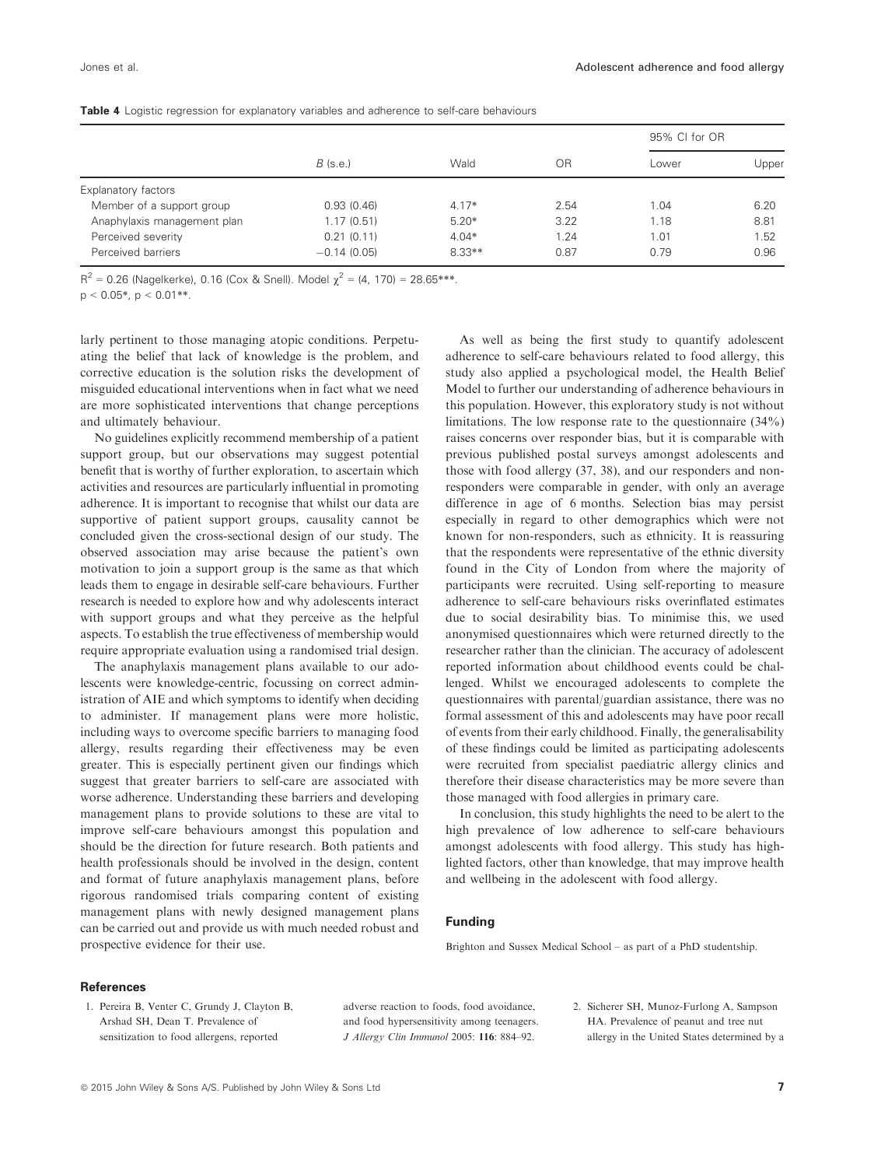|                             |               |          |      | 95% CI for OR |       |
|-----------------------------|---------------|----------|------|---------------|-------|
|                             | $B$ (s.e.)    | Wald     | OR   | Lower         | Upper |
| Explanatory factors         |               |          |      |               |       |
| Member of a support group   | 0.93(0.46)    | $4.17*$  | 2.54 | 1.04          | 6.20  |
| Anaphylaxis management plan | 1.17(0.51)    | $5.20*$  | 3.22 | 1.18          | 8.81  |
| Perceived severity          | 0.21(0.11)    | $4.04*$  | 1.24 | 1.01          | 1.52  |
| Perceived barriers          | $-0.14(0.05)$ | $8.33**$ | 0.87 | 0.79          | 0.96  |

|  |  | <b>Table 4</b> Logistic regression for explanatory variables and adherence to self-care behaviours |  |  |  |  |  |  |  |  |  |
|--|--|----------------------------------------------------------------------------------------------------|--|--|--|--|--|--|--|--|--|
|--|--|----------------------------------------------------------------------------------------------------|--|--|--|--|--|--|--|--|--|

 $R^2 = 0.26$  (Nagelkerke), 0.16 (Cox & Snell). Model  $\gamma^2 = (4, 170) = 28.65$ \*\*\*.

 $p < 0.05$ \*,  $p < 0.01$ \*\*.

larly pertinent to those managing atopic conditions. Perpetuating the belief that lack of knowledge is the problem, and corrective education is the solution risks the development of misguided educational interventions when in fact what we need are more sophisticated interventions that change perceptions and ultimately behaviour.

No guidelines explicitly recommend membership of a patient support group, but our observations may suggest potential benefit that is worthy of further exploration, to ascertain which activities and resources are particularly influential in promoting adherence. It is important to recognise that whilst our data are supportive of patient support groups, causality cannot be concluded given the cross-sectional design of our study. The observed association may arise because the patient's own motivation to join a support group is the same as that which leads them to engage in desirable self-care behaviours. Further research is needed to explore how and why adolescents interact with support groups and what they perceive as the helpful aspects. To establish the true effectiveness of membership would require appropriate evaluation using a randomised trial design.

The anaphylaxis management plans available to our adolescents were knowledge-centric, focussing on correct administration of AIE and which symptoms to identify when deciding to administer. If management plans were more holistic, including ways to overcome specific barriers to managing food allergy, results regarding their effectiveness may be even greater. This is especially pertinent given our findings which suggest that greater barriers to self-care are associated with worse adherence. Understanding these barriers and developing management plans to provide solutions to these are vital to improve self-care behaviours amongst this population and should be the direction for future research. Both patients and health professionals should be involved in the design, content and format of future anaphylaxis management plans, before rigorous randomised trials comparing content of existing management plans with newly designed management plans can be carried out and provide us with much needed robust and prospective evidence for their use.

As well as being the first study to quantify adolescent adherence to self-care behaviours related to food allergy, this study also applied a psychological model, the Health Belief Model to further our understanding of adherence behaviours in this population. However, this exploratory study is not without limitations. The low response rate to the questionnaire (34%) raises concerns over responder bias, but it is comparable with previous published postal surveys amongst adolescents and those with food allergy (37, 38), and our responders and nonresponders were comparable in gender, with only an average difference in age of 6 months. Selection bias may persist especially in regard to other demographics which were not known for non-responders, such as ethnicity. It is reassuring that the respondents were representative of the ethnic diversity found in the City of London from where the majority of participants were recruited. Using self-reporting to measure adherence to self-care behaviours risks overinflated estimates due to social desirability bias. To minimise this, we used anonymised questionnaires which were returned directly to the researcher rather than the clinician. The accuracy of adolescent reported information about childhood events could be challenged. Whilst we encouraged adolescents to complete the questionnaires with parental/guardian assistance, there was no formal assessment of this and adolescents may have poor recall of events from their early childhood. Finally, the generalisability of these findings could be limited as participating adolescents were recruited from specialist paediatric allergy clinics and therefore their disease characteristics may be more severe than those managed with food allergies in primary care.

In conclusion, this study highlights the need to be alert to the high prevalence of low adherence to self-care behaviours amongst adolescents with food allergy. This study has highlighted factors, other than knowledge, that may improve health and wellbeing in the adolescent with food allergy.

# Funding

Brighton and Sussex Medical School – as part of a PhD studentship.

#### **References**

1. Pereira B, Venter C, Grundy J, Clayton B, Arshad SH, Dean T. Prevalence of sensitization to food allergens, reported

adverse reaction to foods, food avoidance, and food hypersensitivity among teenagers. J Allergy Clin Immunol 2005: 116: 884–92.

2. Sicherer SH, Munoz-Furlong A, Sampson HA. Prevalence of peanut and tree nut allergy in the United States determined by a